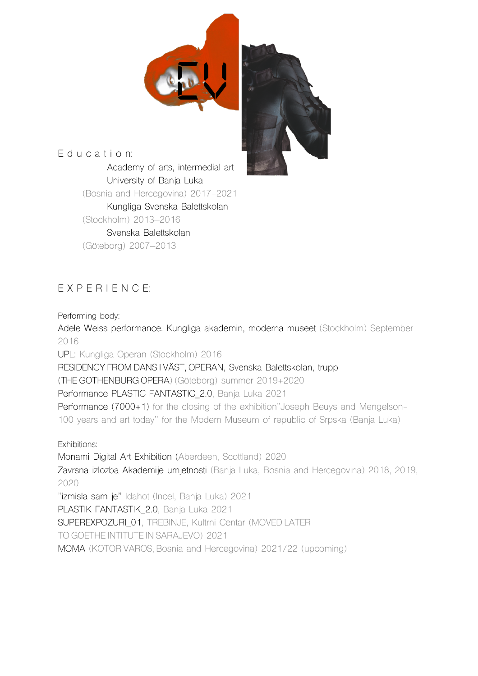

E d u c a t i o n: Academy of arts, intermedial art University of Banja Luka (Bosnia and Hercegovina) 2017-2021 Kungliga Svenska Balettskolan (Stockholm) 2013–2016 Svenska Balettskolan (Göteborg) 2007–2013

## E X P E R I E N C E:

Performing body:

Adele Weiss performance. Kungliga akademin, moderna museet (Stockholm) September 2016

UPL: Kungliga Operan (Stockholm) 2016

RESIDENCY FROM DANS I VÄST, OPERAN, Svenska Balettskolan, trupp

(THE GOTHENBURG OPERA) (Göteborg) summer 2019+2020

Performance PLASTIC FANTASTIC 2.0, Banja Luka 2021

Performance (7000+1) for the closing of the exhibition"Joseph Beuys and Mengelson-100 years and art today" for the Modern Museum of republic of Srpska (Banja Luka)

Exhibitions:

Monami Digital Art Exhibition (Aberdeen, Scottland) 2020

Zavrsna izlozba Akademije umjetnosti (Banja Luka, Bosnia and Hercegovina) 2018, 2019, 2020

"izmisla sam je" Idahot (Incel, Banja Luka) 2021

PLASTIK FANTASTIK 2.0, Banja Luka 2021

SUPEREXPOZURI 01, TREBINJE, Kultrni Centar (MOVED LATER

TO GOETHE INTITUTE IN SARAJEVO) 2021

MOMA (KOTOR VAROS, Bosnia and Hercegovina) 2021/22 (upcoming)